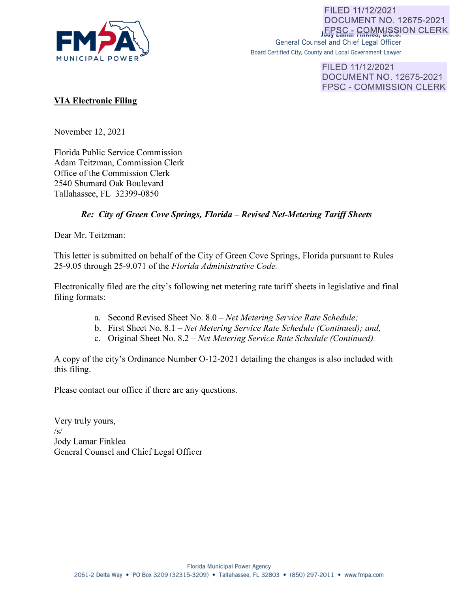

FILED 11/12/2021 **DOCUMENT NO. 12675-2021 LEPSC<sub>a</sub>, COMMISSION CLERK** General Counsel and Chief Legal Officer

Board Certified City, County and Local Government Lawyer

FILED 11/12/2021 DOCUMENT NO. 12675-2021 FPSC - COMMISSION CLERK

# **VIA Electronic Filing**

November 12, 2021

Florida Public Service Commission Adam Teitzman, Commission Clerk Office of the Commission Clerk 2540 Shumard Oak Boulevard Tallahassee, FL 32399-0850

# *Re: City of Green Cove Springs, Florida* - *Revised Net-Metering Tariff Sheets*

Dear Mr. Teitzman:

This letter is submitted on behalf of the City of Green Cove Springs, Florida pursuant to Rules 25-9.05 through 25-9.071 of the *Florida Administrative Code.* 

Electronically filed are the city's following net metering rate tariff sheets in legislative and final filing formats:

- a. Second Revised Sheet No. 8.0 *- Net Metering Service Rate Schedule;*
- b. First Sheet No. 8.1 *Net Metering Service Rate Schedule (Continued); and,*
- c. Original Sheet No. 8.2 *Net Metering Service Rate Schedule (Continued).*

A copy of the city's Ordinance Number 0-12-2021 detailing the changes is also included with this filing.

Please contact our office if there are any questions.

Very truly yours, *Isl*  Jody Lamar Finklea General Counsel and Chief Legal Officer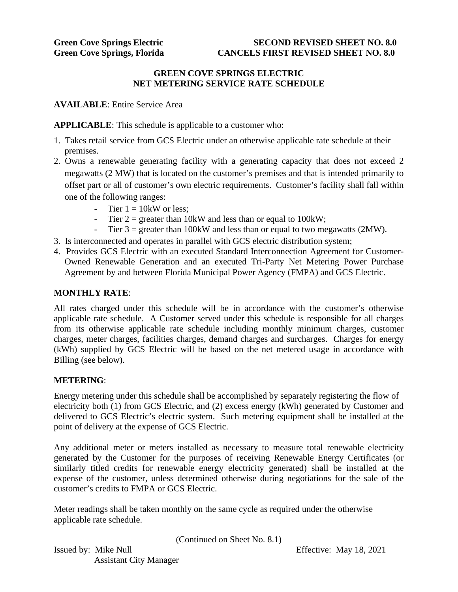### **GREEN COVE SPRINGS ELECTRIC NET METERING SERVICE RATE SCHEDULE**

**AVAILABLE**: Entire Service Area

**APPLICABLE**: This schedule is applicable to a customer who:

- 1. Takes retail service from GCS Electric under an otherwise applicable rate schedule at their premises.
- 2. Owns a renewable generating facility with a generating capacity that does not exceed 2 megawatts (2 MW) that is located on the customer's premises and that is intended primarily to offset part or all of customer's own electric requirements. Customer's facility shall fall within one of the following ranges:
	- Tier  $1 = 10$ kW or less:
	- Tier  $2 =$  greater than 10kW and less than or equal to 100kW;
	- Tier  $3 =$  greater than 100kW and less than or equal to two megawatts (2MW).
- 3. Is interconnected and operates in parallel with GCS electric distribution system;
- 4. Provides GCS Electric with an executed Standard Interconnection Agreement for Customer-Owned Renewable Generation and an executed Tri-Party Net Metering Power Purchase Agreement by and between Florida Municipal Power Agency (FMPA) and GCS Electric.

#### **MONTHLY RATE**:

All rates charged under this schedule will be in accordance with the customer's otherwise applicable rate schedule. A Customer served under this schedule is responsible for all charges from its otherwise applicable rate schedule including monthly minimum charges, customer charges, meter charges, facilities charges, demand charges and surcharges. Charges for energy (kWh) supplied by GCS Electric will be based on the net metered usage in accordance with Billing (see below).

# **METERING**:

Energy metering under this schedule shall be accomplished by separately registering the flow of electricity both (1) from GCS Electric, and (2) excess energy (kWh) generated by Customer and delivered to GCS Electric's electric system. Such metering equipment shall be installed at the point of delivery at the expense of GCS Electric.

Any additional meter or meters installed as necessary to measure total renewable electricity generated by the Customer for the purposes of receiving Renewable Energy Certificates (or similarly titled credits for renewable energy electricity generated) shall be installed at the expense of the customer, unless determined otherwise during negotiations for the sale of the customer's credits to FMPA or GCS Electric.

Meter readings shall be taken monthly on the same cycle as required under the otherwise applicable rate schedule.

(Continued on Sheet No. 8.1)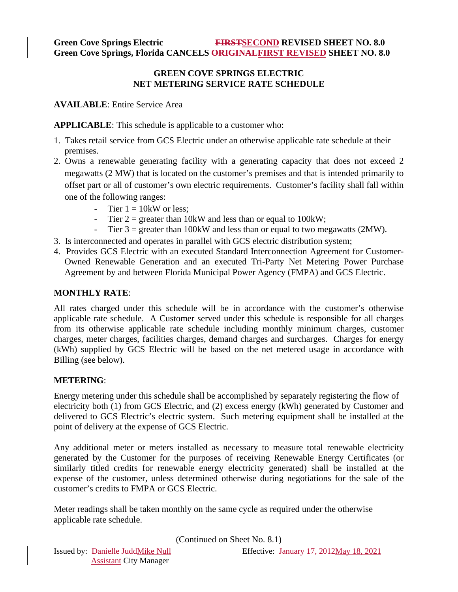# **Green Cove Springs Electric FIRSTSECOND REVISED SHEET NO. 8.0 Green Cove Springs, Florida CANCELS ORIGINALFIRST REVISED SHEET NO. 8.0**

### **GREEN COVE SPRINGS ELECTRIC NET METERING SERVICE RATE SCHEDULE**

**AVAILABLE**: Entire Service Area

**APPLICABLE**: This schedule is applicable to a customer who:

- 1. Takes retail service from GCS Electric under an otherwise applicable rate schedule at their premises.
- 2. Owns a renewable generating facility with a generating capacity that does not exceed 2 megawatts (2 MW) that is located on the customer's premises and that is intended primarily to offset part or all of customer's own electric requirements. Customer's facility shall fall within one of the following ranges:
	- Tier  $1 = 10$ kW or less:
	- Tier  $2 =$  greater than 10kW and less than or equal to 100kW;
	- Tier  $3 =$  greater than 100kW and less than or equal to two megawatts (2MW).
- 3. Is interconnected and operates in parallel with GCS electric distribution system;
- 4. Provides GCS Electric with an executed Standard Interconnection Agreement for Customer-Owned Renewable Generation and an executed Tri-Party Net Metering Power Purchase Agreement by and between Florida Municipal Power Agency (FMPA) and GCS Electric.

# **MONTHLY RATE**:

All rates charged under this schedule will be in accordance with the customer's otherwise applicable rate schedule. A Customer served under this schedule is responsible for all charges from its otherwise applicable rate schedule including monthly minimum charges, customer charges, meter charges, facilities charges, demand charges and surcharges. Charges for energy (kWh) supplied by GCS Electric will be based on the net metered usage in accordance with Billing (see below).

# **METERING**:

Energy metering under this schedule shall be accomplished by separately registering the flow of electricity both (1) from GCS Electric, and (2) excess energy (kWh) generated by Customer and delivered to GCS Electric's electric system. Such metering equipment shall be installed at the point of delivery at the expense of GCS Electric.

Any additional meter or meters installed as necessary to measure total renewable electricity generated by the Customer for the purposes of receiving Renewable Energy Certificates (or similarly titled credits for renewable energy electricity generated) shall be installed at the expense of the customer, unless determined otherwise during negotiations for the sale of the customer's credits to FMPA or GCS Electric.

Meter readings shall be taken monthly on the same cycle as required under the otherwise applicable rate schedule.

(Continued on Sheet No. 8.1)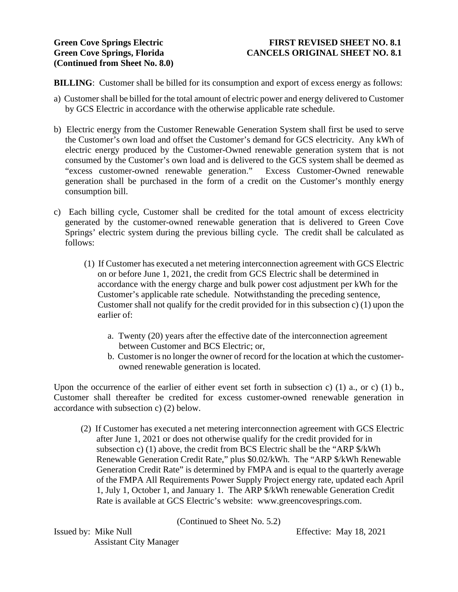### **Green Cove Springs Electric FIRST REVISED SHEET NO. 8.1** Green Cove Springs, Florida CANCELS ORIGINAL SHEET NO. 8.1

**BILLING**: Customer shall be billed for its consumption and export of excess energy as follows:

- a) Customer shall be billed for the total amount of electric power and energy delivered to Customer by GCS Electric in accordance with the otherwise applicable rate schedule.
- b) Electric energy from the Customer Renewable Generation System shall first be used to serve the Customer's own load and offset the Customer's demand for GCS electricity. Any kWh of electric energy produced by the Customer-Owned renewable generation system that is not consumed by the Customer's own load and is delivered to the GCS system shall be deemed as "excess customer-owned renewable generation." Excess Customer-Owned renewable generation shall be purchased in the form of a credit on the Customer's monthly energy consumption bill.
- c) Each billing cycle, Customer shall be credited for the total amount of excess electricity generated by the customer-owned renewable generation that is delivered to Green Cove Springs' electric system during the previous billing cycle. The credit shall be calculated as follows:
	- (1) If Customer has executed a net metering interconnection agreement with GCS Electric on or before June 1, 2021, the credit from GCS Electric shall be determined in accordance with the energy charge and bulk power cost adjustment per kWh for the Customer's applicable rate schedule. Notwithstanding the preceding sentence, Customer shall not qualify for the credit provided for in this subsection c) (1) upon the earlier of:
		- a. Twenty (20) years after the effective date of the interconnection agreement between Customer and BCS Electric; or,
		- b. Customer is no longer the owner of record for the location at which the customer owned renewable generation is located.

Upon the occurrence of the earlier of either event set forth in subsection c) (1) a., or c) (1) b., Customer shall thereafter be credited for excess customer-owned renewable generation in accordance with subsection c) (2) below.

 (2) If Customer has executed a net metering interconnection agreement with GCS Electric after June 1, 2021 or does not otherwise qualify for the credit provided for in subsection c) (1) above, the credit from BCS Electric shall be the "ARP \$/kWh Renewable Generation Credit Rate," plus \$0.02/kWh. The "ARP \$/kWh Renewable Generation Credit Rate" is determined by FMPA and is equal to the quarterly average of the FMPA All Requirements Power Supply Project energy rate, updated each April 1, July 1, October 1, and January 1. The ARP \$/kWh renewable Generation Credit Rate is available at GCS Electric's website: www.greencovesprings.com.

(Continued to Sheet No. 5.2)

Issued by: Mike Null Effective: May 18, 2021 Assistant City Manager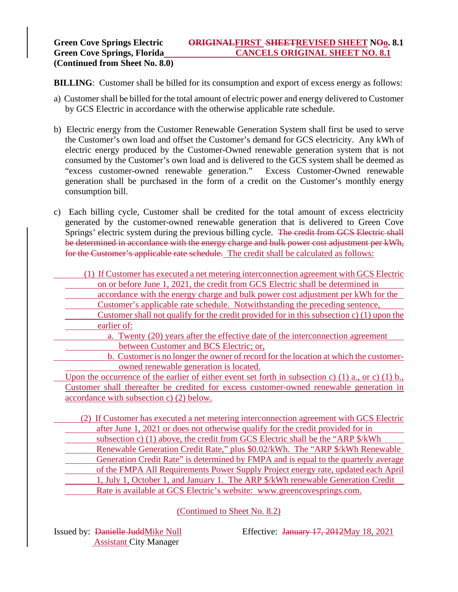**BILLING**: Customer shall be billed for its consumption and export of excess energy as follows:

- a) Customer shall be billed for the total amount of electric power and energy delivered to Customer by GCS Electric in accordance with the otherwise applicable rate schedule.
- b) Electric energy from the Customer Renewable Generation System shall first be used to serve the Customer's own load and offset the Customer's demand for GCS electricity. Any kWh of electric energy produced by the Customer-Owned renewable generation system that is not consumed by the Customer's own load and is delivered to the GCS system shall be deemed as "excess customer-owned renewable generation." Excess Customer-Owned renewable generation shall be purchased in the form of a credit on the Customer's monthly energy consumption bill.
- c) Each billing cycle, Customer shall be credited for the total amount of excess electricity generated by the customer-owned renewable generation that is delivered to Green Cove Springs' electric system during the previous billing cycle. The credit from GCS Electric shall be determined in accordance with the energy charge and bulk power cost adjustment per kWh, for the Customer's applicable rate schedule. The credit shall be calculated as follows:

 (1) If Customer has executed a net metering interconnection agreement with GCS Electric on or before June 1, 2021, the credit from GCS Electric shall be determined in accordance with the energy charge and bulk power cost adjustment per kWh for the

- Customer's applicable rate schedule. Notwithstanding the preceding sentence, Customer shall not qualify for the credit provided for in this subsection c) (1) upon the earlier of:
	- a. Twenty (20) years after the effective date of the interconnection agreement between Customer and BCS Electric; or,
	- b. Customer is no longer the owner of record for the location at which the customer owned renewable generation is located.

Upon the occurrence of the earlier of either event set forth in subsection c) (1) a., or c) (1) b., Customer shall thereafter be credited for excess customer-owned renewable generation in accordance with subsection c) (2) below.

 (2) If Customer has executed a net metering interconnection agreement with GCS Electric after June 1, 2021 or does not otherwise qualify for the credit provided for in subsection c) (1) above, the credit from GCS Electric shall be the "ARP \$/kWh Renewable Generation Credit Rate," plus \$0.02/kWh. The "ARP \$/kWh Renewable Generation Credit Rate" is determined by FMPA and is equal to the quarterly average of the FMPA All Requirements Power Supply Project energy rate, updated each April 1, July 1, October 1, and January 1. The ARP \$/kWh renewable Generation Credit

Rate is available at GCS Electric's website: www.greencovesprings.com.

(Continued to Sheet No. 8.2)

Assistant City Manager

Issued by: Danielle JuddMike Null Effective: January 17, 2012May 18, 2021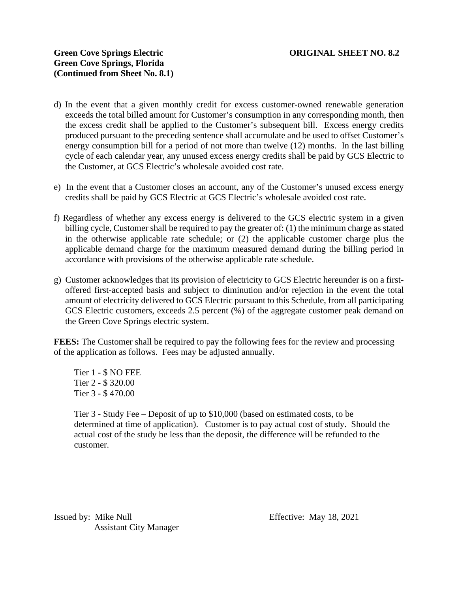- d) In the event that a given monthly credit for excess customer-owned renewable generation exceeds the total billed amount for Customer's consumption in any corresponding month, then the excess credit shall be applied to the Customer's subsequent bill. Excess energy credits produced pursuant to the preceding sentence shall accumulate and be used to offset Customer's energy consumption bill for a period of not more than twelve (12) months. In the last billing cycle of each calendar year, any unused excess energy credits shall be paid by GCS Electric to the Customer, at GCS Electric's wholesale avoided cost rate.
- e) In the event that a Customer closes an account, any of the Customer's unused excess energy credits shall be paid by GCS Electric at GCS Electric's wholesale avoided cost rate.
- f) Regardless of whether any excess energy is delivered to the GCS electric system in a given billing cycle, Customer shall be required to pay the greater of: (1) the minimum charge as stated in the otherwise applicable rate schedule; or (2) the applicable customer charge plus the applicable demand charge for the maximum measured demand during the billing period in accordance with provisions of the otherwise applicable rate schedule.
- g) Customer acknowledges that its provision of electricity to GCS Electric hereunder is on a firstoffered first-accepted basis and subject to diminution and/or rejection in the event the total amount of electricity delivered to GCS Electric pursuant to this Schedule, from all participating GCS Electric customers, exceeds 2.5 percent (%) of the aggregate customer peak demand on the Green Cove Springs electric system.

**FEES:** The Customer shall be required to pay the following fees for the review and processing of the application as follows. Fees may be adjusted annually.

 Tier 1 - \$ NO FEE Tier 2 - \$ 320.00 Tier 3 - \$ 470.00

 Tier 3 - Study Fee – Deposit of up to \$10,000 (based on estimated costs, to be determined at time of application). Customer is to pay actual cost of study. Should the actual cost of the study be less than the deposit, the difference will be refunded to the customer.

Issued by: Mike Null Effective: May 18, 2021 Assistant City Manager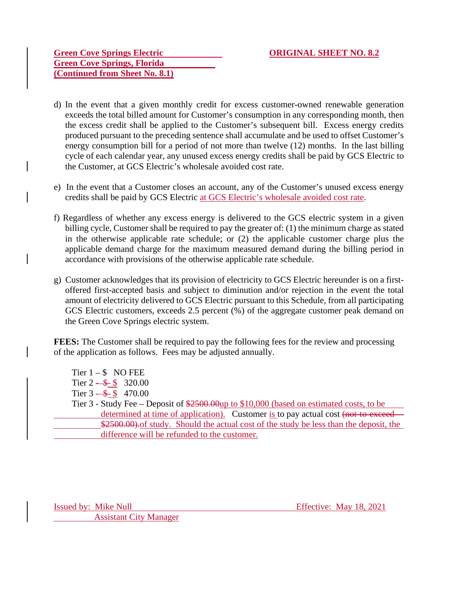### **Green Cove Springs Electric ORIGINAL SHEET NO. 8.2 Green Cove Springs, Florida (Continued from Sheet No. 8.1)**

- d) In the event that a given monthly credit for excess customer-owned renewable generation exceeds the total billed amount for Customer's consumption in any corresponding month, then the excess credit shall be applied to the Customer's subsequent bill. Excess energy credits produced pursuant to the preceding sentence shall accumulate and be used to offset Customer's energy consumption bill for a period of not more than twelve (12) months. In the last billing cycle of each calendar year, any unused excess energy credits shall be paid by GCS Electric to the Customer, at GCS Electric's wholesale avoided cost rate.
- e) In the event that a Customer closes an account, any of the Customer's unused excess energy credits shall be paid by GCS Electric at GCS Electric's wholesale avoided cost rate.
- f) Regardless of whether any excess energy is delivered to the GCS electric system in a given billing cycle, Customer shall be required to pay the greater of: (1) the minimum charge as stated in the otherwise applicable rate schedule; or (2) the applicable customer charge plus the applicable demand charge for the maximum measured demand during the billing period in accordance with provisions of the otherwise applicable rate schedule.
- g) Customer acknowledges that its provision of electricity to GCS Electric hereunder is on a firstoffered first-accepted basis and subject to diminution and/or rejection in the event the total amount of electricity delivered to GCS Electric pursuant to this Schedule, from all participating GCS Electric customers, exceeds 2.5 percent (%) of the aggregate customer peak demand on the Green Cove Springs electric system.

**FEES:** The Customer shall be required to pay the following fees for the review and processing of the application as follows. Fees may be adjusted annually.

Tier  $1 - $$  NO FEE Tier  $2 - 1$  \$ 320.00 Tier  $3 - 15 - 170.00$ Tier 3 - Study Fee – Deposit of \$2500.00 up to \$10,000 (based on estimated costs, to be determined at time of application). Customer is to pay actual cost (not to exceed \$2500.00). of study. Should the actual cost of the study be less than the deposit, the difference will be refunded to the customer.

Issued by: Mike Null **Effective:** May 18, 2021 Assistant City Manager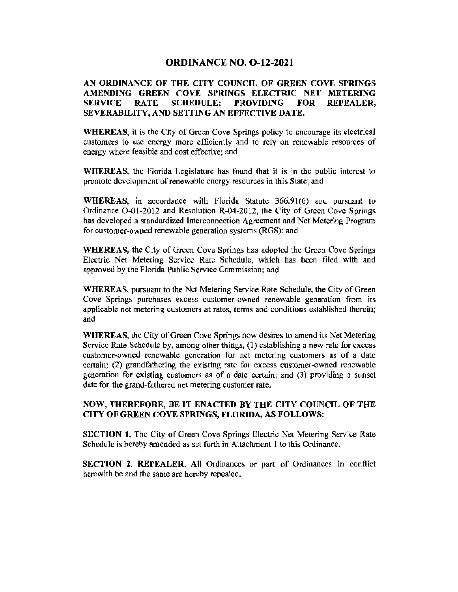#### ORDINANCE NO. 0-12-2021

#### AN ORDINANCE OF THE CITY COUNCIL OF GREEN COVE SPRINGS AMENDING GREEN COVE SPRINGS ELECTRIC NET METERING SERVICE RATE SCHEDULE; PROVIDING FOR REPEALER, SEVERABILITY, AND SETTING AN EFFECTIVE DATE.

WHEREAS, it is the City of Green Cove Springs policy to encourage its electrical customers to use energy more efficiently and to rely on renewable resources of energy where feasible and cost effective; and

WHEREAS, the Florida Legislature has found that it is in the public interest to promote development of renewable energy resources in this State; and

WHEREAS, in accordance with Florida Statute 366.91(6) and pursuant to Ordinance 0-01-2012 and Resolution R-04-2012, the City of Green Cove Springs has developed a standardized Interconnection Agreement and Net Metering Program for customer-owned renewable generation systems (RGS); and

WHEREAS, the City of Green Cove Springs has adopted the Green Cove Springs Electric Net Metering Service Rate Schedule, which has been filed with and approved by the Florida Public Service Commission; and

WHEREAS, pursuant to the Net Metering Service Rate Schedule, the City of Green Cove Springs purchases excess customer-owned renewable generation from its applicable net metering customers at rates, terms and conditions established therein; and

WHEREAS, the City of Green Cove Springs now desires to amend its Net Metering Service Rate Schedule by, among other things, (1) establishing a new rate for excess customer-owned renewable generation for net metering customers as of a date certain; (2) grandfathering the existing rate for excess customer-owned renewable generation for existing customers as of a date certain; and (3) providing a sunset date for the grand-fathered net metering customer rate.

#### NOW, THEREFORE, BE IT ENACTED BY THE CITY COUNCIL OF THE CITY OF GREEN COVE SPRINGS, FLORIDA, AS FOLLOWS;

SECTION 1. The City of Green Cove Springs Electric Net Metering Service Rate Schedule is hereby amended as set forth in Attachment 1 to this Ordinance.

SECTION 2. REPEALER. All Ordinances or part of Ordinances in conflict herewith be and the same are hereby repealed.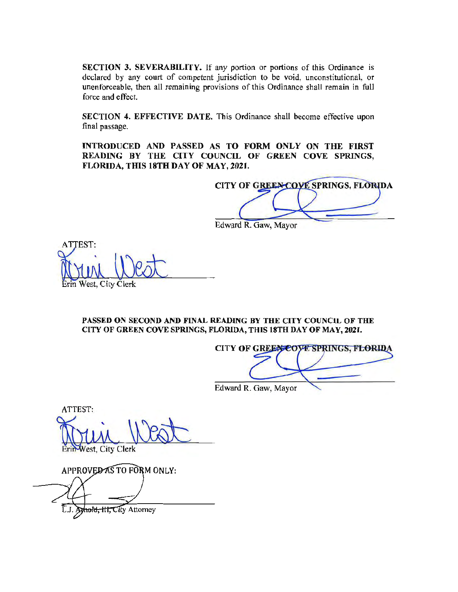**SECTION 3. SEVERABILITY.** If any portion or portions of this Ordinance is declared by any court of competent jurisdiction to be void, unconstitutional, or unenforceable, then all remaining provisions of this Ordinance shall remain in full force and effect.

**SECTION 4. EFFECTIVE DATE.** This Ordinance shall become effective upon final passage.

**INTRODUCED AND PASSED AS TO FORM ONLY ON THE FIRST READING BY THE CITY COUNCIL OF GREEN COVE SPRINGS, FLORIDA, THIS 18TH DAY OF MAY, 2021.** 

CITY OF GREEN COVE SPRINGS, FLORIDA Edward R. Gaw, Mayor

ATTEST: West, City Clerk

**PASSED ON SECOND AND FINAL READING BY THE CITY COUNCIL OF THE CITY OF GREEN COVE SPRINGS, FLORIDA, THIS 18TH DAY OF MAY, 2021.** 

**CITY OF GREEN COVE SPRINGS, FLORIDA** Edward R. Gaw, Mayor

ATTEST: Vest, City Clerk

APPROVED AS TO FORM ONLY:

Amold, III, City Attorney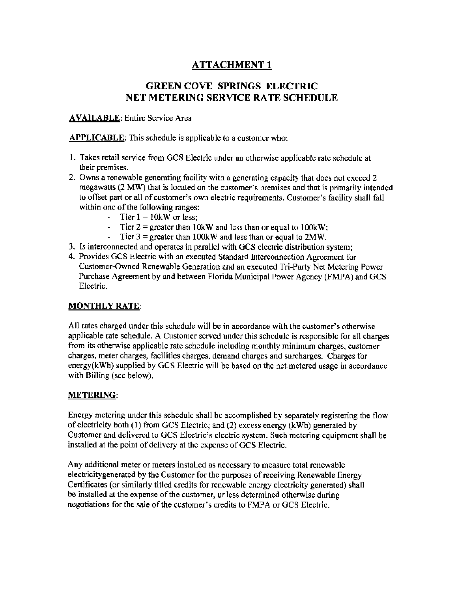# ATTACHMENT 1

# GREEN COVE SPRINGS ELECTRIC NET METERING SERVICE RATE SCHEDULE

### **AVAILABLE:** Entire Service Area

**APPLICABLE:** This schedule is applicable to a customer who:

- 1. Takes retail service from GCS Electric under an otherwise applicable rate schedule at their premises.
- 2. Owns a renewable generating facility with a generating capacity that does not exceed 2 megawatts (2 MW) that is located on the customer's premises and that is primarily intended to offset part or all of customer's own electric requirements. Customer's facility shall fall within one of the following ranges:
	- Tier  $1 = 10$ kW or less;
	- Tier  $2 =$  greater than 10kW and less than or equal to 100kW;
	- Tier  $3 =$  greater than 100kW and less than or equal to 2MW.
- 3. Is interconnected and operates in parallel with GCS electric distribution system;
- 4. Provides GCS Electric with an executed Standard Interconnection Agreement for Customer-Owned Renewable Generation and an executed Tri-Party Net Metering Power Purchase Agreement by and between Florida Municipal Power Agency (FMPA) and GCS Electric.

# MONTHLY RATE:

All rates charged under this schedule will be in accordance with the customer's otherwise applicable rate schedule. A Customer served under this schedule is responsible for all charges from its otherwise applicable rate schedule including monthly minimum charges, customer charges, meter charges, facilities charges, demand charges and surcharges. Charges for energy(kWh) supplied by GCS Electric will be based on the net.metered usage in accordance with Billing (see below).

#### METERING:

Energy metering under this schedule shall be accomplished by separately registering the flow of electricity both (I) from GCS Electric; and (2) excess energy (kWh) generated by Customer and delivered to GCS Electric's electric system. Such metering equipment shall be installed at the point of delivery at the expense of GCS Electric.

Any additional meter or meters installed as necessary to measure total renewable electricitygenerated by the Customer for the purposes of receiving Renewable Energy Certificates (or similarly titled credits for renewable energy electricity generated) shall be installed at the expense of the customer, unless determined otherwise during negotiations for the sale of the customer's credits to FMPA or GCS Electric.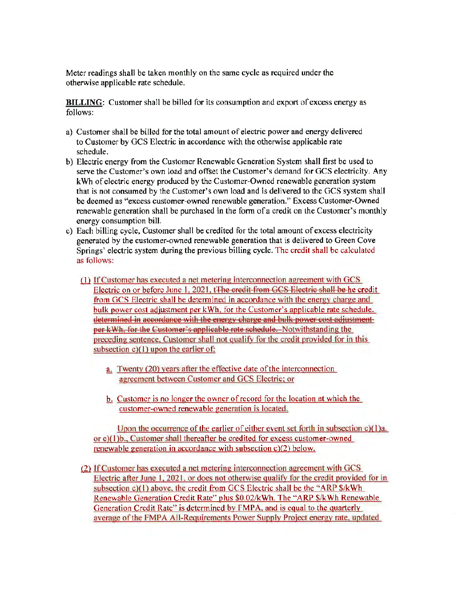Meter readings shall be taken monthly on the same cycle as required under the otherwise applicable rate schedule.

**BILLING:** Customer shall be billed for its consumption and export of excess energy as follows:

- a) Customer shall be billed for the total amount of electric power and energy delivered to Customer by GCS Electric in accordance with the otherwise applicable rate schedule.
- b) Electric energy from the Customer Renewable Generation System shall first be used to serve the Customer's own load and offset the Customer's demand for GCS electricity. Any kWh of electric energy produced by the Customer-Owned renewable generation system that is not consumed by the Customer's own load and is delivered to the GCS system shall be deemed as "excess customer-owned renewable generation." Excess Customer-Owned renewable generation shall be purchased in the fonn of a credit on the Customer's monthly energy consumption bill.
- c) Each billing cycle, Customer shall be credited for the total amount of excess electricity generated by the customer-owned renewable generation that is delivered to Green Cove Springs' electric system during the previous billing cycle. The credit shall be calculated as follows:
	- (1) If Customer has executed a net metering interconnection agreement with GCS Electric on or before June 1, 2021, t<del>The credit from GCS Electric shall be he</del> credit from GCS Electric shall be determined in accordance with the energv charge and bulk power cost adjustment per **kWh.** for the Customer's applicable rate schedule. determined in accordance with the energy charge and bulk power cost adjustment per kWh, for the Customer's applicable rate schedule. Notwithstanding the preceding sentence, Customer shall not qualify for the credit provided for in this subsection  $c(1)$  upon the earlier of:
		- a. Twenty (20) years after the effective date of the interconnection agreement between Customer and GCS Electric: or
		- b. Customer is no longer the owner of record for the location at which the customer-owned renewable generation is located.

Upon the occurrence of the earlier of either event set forth in subsection c)( l)a. or c)( I )b .. Customer shall thereafter be credited for excess customer-owned renewable generation in accordance with subsection c)(2) below.

 $(2)$  If Customer has executed a net metering interconnection agreement with GCS Electric after June I. 2021. or does not otherwise qualifv for the credit provided for in subsection c)(1) above, the credit from GCS Electric shall be the "ARP \$/kWh" Renewable Generation Credit Rate" plus \$0.02/kWh. The "ARP \$/kWh Renewable Generation Credit Rate" is determined by FMPA, and is equal to the quarterly average of the FMPA All-Requirements Power Supply Project energy rate. updated